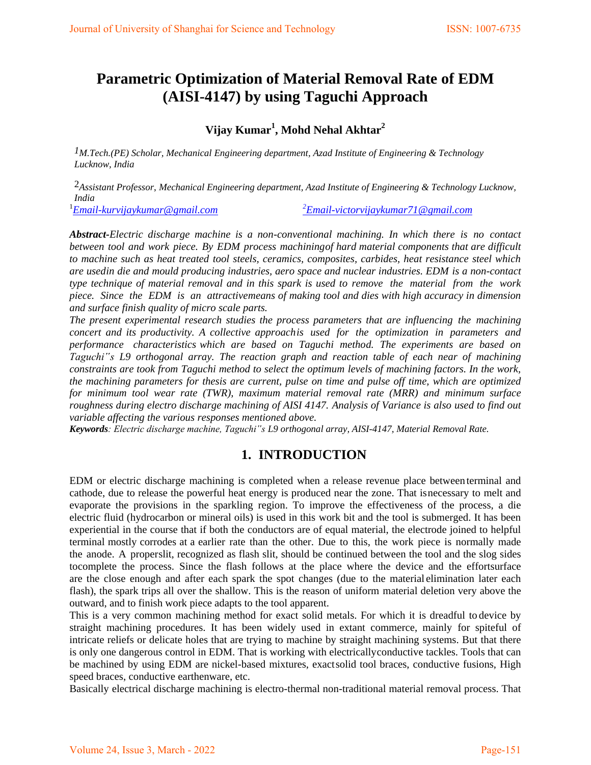# **Parametric Optimization of Material Removal Rate of EDM (AISI-4147) by using Taguchi Approach**

**Vijay Kumar<sup>1</sup> , Mohd Nehal Akhtar<sup>2</sup>**

*1M.Tech.(PE) Scholar, Mechanical Engineering department, Azad Institute of Engineering & Technology Lucknow, India* 

2*Assistant Professor*, *Mechanical Engineering department, Azad Institute of Engineering & Technology Lucknow, India* 

<sup>1</sup>*[Email-kurvijaykumar@gmail.com](mailto:Email-kurvijaykumar@gmail.com)* 

*<sup>2</sup>[Email-victorvijaykumar71@gmail.com](mailto:2Email-victorvijaykumar71@gmail.com)*

*Abstract-Electric discharge machine is a non-conventional machining. In which there is no contact between tool and work piece. By EDM process machining of hard material components that are difficult to machine such as heat treated tool steels, ceramics, composites, carbides, heat resistance steel which are used in die and mould producing industries, aero space and nuclear industries. EDM is a non-contact type technique of material removal and in this spark is used to remove the material from the work piece. Since the EDM is an attractive means of making tool and dies with high accuracy in dimension and surface finish quality of micro scale parts.* 

*The present experimental research studies the process parameters that are influencing the machining concert and its productivity. A collective approach is used for the optimization in parameters and performance characteristics which are based on Taguchi method. The experiments are based on Taguchi"s L9 orthogonal array. The reaction graph and reaction table of each near of machining constraints are took from Taguchi method to select the optimum levels of machining factors. In the work, the machining parameters for thesis are current, pulse on time and pulse off time, which are optimized for minimum tool wear rate (TWR), maximum material removal rate (MRR) and minimum surface roughness during electro discharge machining of AISI 4147. Analysis of Variance is also used to find out variable affecting the various responses mentioned above.* 

*Keywords: Electric discharge machine, Taguchi"s L9 orthogonal array, AISI-4147, Material Removal Rate.* 

## **1. INTRODUCTION**

EDM or electric discharge machining is completed when a release revenue place between terminal and cathode, due to release the powerful heat energy is produced near the zone. That is necessary to melt and evaporate the provisions in the sparkling region. To improve the effectiveness of the process, a die electric fluid (hydrocarbon or mineral oils) is used in this work bit and the tool is submerged. It has been experiential in the course that if both the conductors are of equal material, the electrode joined to helpful terminal mostly corrodes at a earlier rate than the other. Due to this, the work piece is normally made the anode. A properslit, recognized as flash slit, should be continued between the tool and the slog sides to complete the process. Since the flash follows at the place where the device and the effort surface are the close enough and after each spark the spot changes (due to the material elimination later each flash), the spark trips all over the shallow. This is the reason of uniform material deletion very above the outward, and to finish work piece adapts to the tool apparent.

This is a very common machining method for exact solid metals. For which it is dreadful to device by straight machining procedures. It has been widely used in extant commerce, mainly for spiteful of intricate reliefs or delicate holes that are trying to machine by straight machining systems. But that there is only one dangerous control in EDM. That is working with electrically conductive tackles. Tools that can be machined by using EDM are nickel-based mixtures, exact solid tool braces, conductive fusions, High speed braces, conductive earthenware, etc.

Basically electrical discharge machining is electro-thermal non-traditional material removal process. That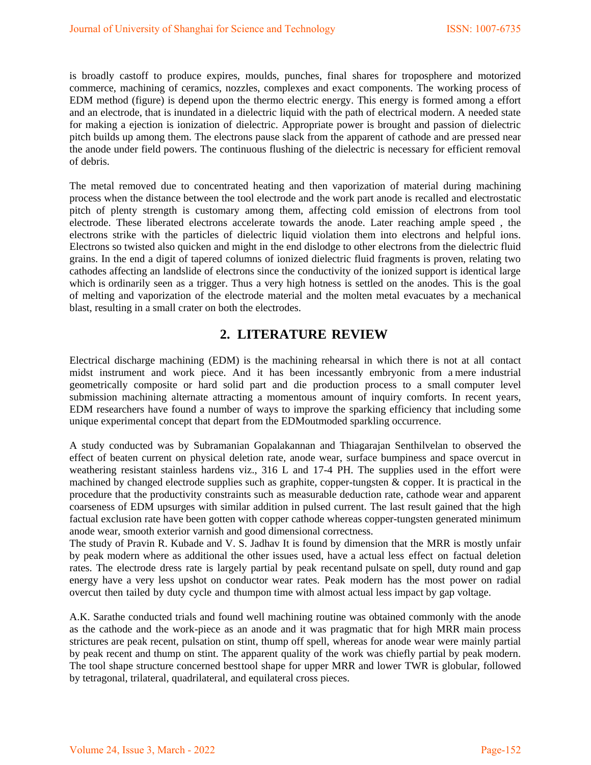is broadly castoff to produce expires, moulds, punches, final shares for troposphere and motorized commerce, machining of ceramics, nozzles, complexes and exact components. The working process of EDM method (figure) is depend upon the thermo electric energy. This energy is formed among a effort and an electrode, that is inundated in a dielectric liquid with the path of electrical modern. A needed state for making a ejection is ionization of dielectric. Appropriate power is brought and passion of dielectric pitch builds up among them. The electrons pause slack from the apparent of cathode and are pressed near the anode under field powers. The continuous flushing of the dielectric is necessary for efficient removal of debris.

The metal removed due to concentrated heating and then vaporization of material during machining process when the distance between the tool electrode and the work part anode is recalled and electrostatic pitch of plenty strength is customary among them, affecting cold emission of electrons from tool electrode. These liberated electrons accelerate towards the anode. Later reaching ample speed , the electrons strike with the particles of dielectric liquid violation them into electrons and helpful ions. Electrons so twisted also quicken and might in the end dislodge to other electrons from the dielectric fluid grains. In the end a digit of tapered columns of ionized dielectric fluid fragments is proven, relating two cathodes affecting an landslide of electrons since the conductivity of the ionized support is identical large which is ordinarily seen as a trigger. Thus a very high hotness is settled on the anodes. This is the goal of melting and vaporization of the electrode material and the molten metal evacuates by a mechanical blast, resulting in a small crater on both the electrodes.

# **2. LITERATURE REVIEW**

Electrical discharge machining (EDM) is the machining rehearsal in which there is not at all contact midst instrument and work piece. And it has been incessantly embryonic from a mere industrial geometrically composite or hard solid part and die production process to a small computer level submission machining alternate attracting a momentous amount of inquiry comforts. In recent years, EDM researchers have found a number of ways to improve the sparking efficiency that including some unique experimental concept that depart from the EDM outmoded sparkling occurrence.

A study conducted was by Subramanian Gopalakannan and Thiagarajan Senthilvelan to observed the effect of beaten current on physical deletion rate, anode wear, surface bumpiness and space overcut in weathering resistant stainless hardens viz., 316 L and 17-4 PH. The supplies used in the effort were machined by changed electrode supplies such as graphite, copper-tungsten & copper. It is practical in the procedure that the productivity constraints such as measurable deduction rate, cathode wear and apparent coarseness of EDM upsurges with similar addition in pulsed current. The last result gained that the high factual exclusion rate have been gotten with copper cathode whereas copper-tungsten generated minimum anode wear, smooth exterior varnish and good dimensional correctness.

The study of Pravin R. Kubade and V. S. Jadhav It is found by dimension that the MRR is mostly unfair by peak modern where as additional the other issues used, have a actual less effect on factual deletion rates. The electrode dress rate is largely partial by peak recentand pulsate on spell, duty round and gap energy have a very less upshot on conductor wear rates. Peak modern has the most power on radial overcut then tailed by duty cycle and thumpon time with almost actual less impact by gap voltage.

A.K. Sarathe conducted trials and found well machining routine was obtained commonly with the anode as the cathode and the work-piece as an anode and it was pragmatic that for high MRR main process strictures are peak recent, pulsation on stint, thump off spell, whereas for anode wear were mainly partial by peak recent and thump on stint. The apparent quality of the work was chiefly partial by peak modern. The tool shape structure concerned best tool shape for upper MRR and lower TWR is globular, followed by tetragonal, trilateral, quadrilateral, and equilateral cross pieces.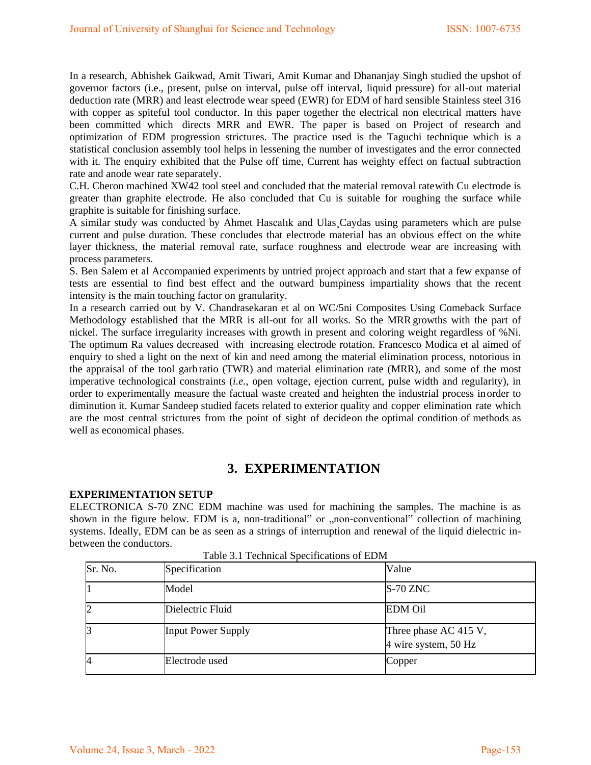In a research, Abhishek Gaikwad, Amit Tiwari, Amit Kumar and Dhananjay Singh studied the upshot of governor factors (i.e., present, pulse on interval, pulse off interval, liquid pressure) for all-out material deduction rate (MRR) and least electrode wear speed (EWR) for EDM of hard sensible Stainless steel 316 with copper as spiteful tool conductor. In this paper together the electrical non electrical matters have been committed which directs MRR and EWR. The paper is based on Project of research and optimization of EDM progression strictures. The practice used is the Taguchi technique which is a statistical conclusion assembly tool helps in lessening the number of investigates and the error connected with it. The enquiry exhibited that the Pulse off time, Current has weighty effect on factual subtraction rate and anode wear rate separately.

C.H. Cheron machined XW42 tool steel and concluded that the material removal rate with Cu electrode is greater than graphite electrode. He also concluded that Cu is suitable for roughing the surface while graphite is suitable for finishing surface.

A similar study was conducted by Ahmet Hascalık and Ulas¸Caydas using parameters which are pulse current and pulse duration. These concludes that electrode material has an obvious effect on the white layer thickness, the material removal rate, surface roughness and electrode wear are increasing with process parameters.

S. Ben Salem et al Accompanied experiments by untried project approach and start that a few expanse of tests are essential to find best effect and the outward bumpiness impartiality shows that the recent intensity is the main touching factor on granularity.

In a research carried out by V. Chandrasekaran et al on WC/5ni Composites Using Comeback Surface Methodology established that the MRR is all-out for all works. So the MRR growths with the part of nickel. The surface irregularity increases with growth in present and coloring weight regardless of %Ni. The optimum Ra values decreased with increasing electrode rotation. Francesco Modica et al aimed of enquiry to shed a light on the next of kin and need among the material elimination process, notorious in the appraisal of the tool garb ratio (TWR) and material elimination rate (MRR), and some of the most imperative technological constraints (*i.e.*, open voltage, ejection current, pulse width and regularity), in order to experimentally measure the factual waste created and heighten the industrial process in order to diminution it. Kumar Sandeep studied facets related to exterior quality and copper elimination rate which are the most central strictures from the point of sight of decide on the optimal condition of methods as well as economical phases.

## **3. EXPERIMENTATION**

### **EXPERIMENTATION SETUP**

ELECTRONICA S-70 ZNC EDM machine was used for machining the samples. The machine is as shown in the figure below. EDM is a, non-traditional" or "non-conventional" collection of machining systems. Ideally, EDM can be as seen as a strings of interruption and renewal of the liquid dielectric inbetween the conductors.

| Sr. No.        | Specification             | Value                                         |
|----------------|---------------------------|-----------------------------------------------|
|                | Model                     | <b>S-70 ZNC</b>                               |
| $\overline{c}$ | Dielectric Fluid          | <b>EDM Oil</b>                                |
| 3              | <b>Input Power Supply</b> | Three phase AC 415 V,<br>4 wire system, 50 Hz |
| 4              | Electrode used            | Copper                                        |

Table 3.1 Technical Specifications of EDM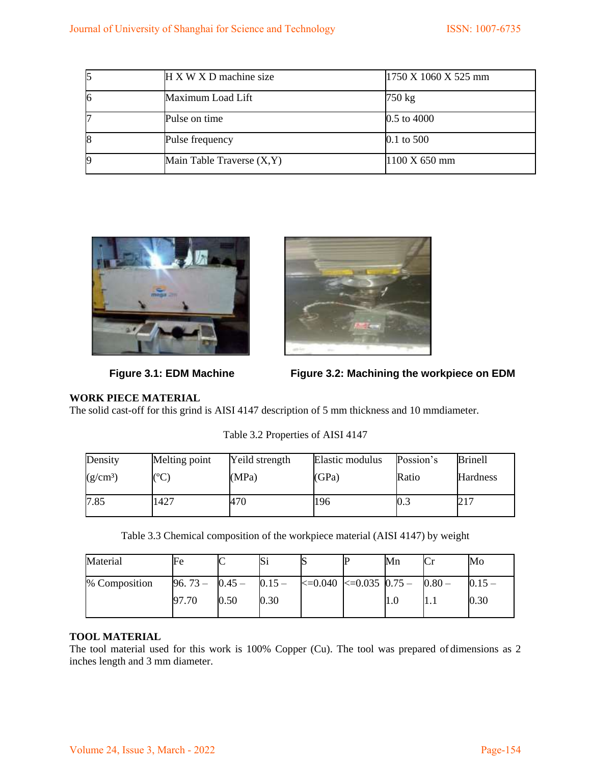|    | $H X W X D$ machine size     | $1750 \text{ X} 1060 \text{ X} 525 \text{ mm}$ |
|----|------------------------------|------------------------------------------------|
| 16 | Maximum Load Lift            | 750 kg                                         |
|    | Pulse on time                | $0.5$ to 4000                                  |
| 18 | Pulse frequency              | $0.1$ to 500                                   |
|    | Main Table Traverse $(X, Y)$ | $1100 \text{ X } 650 \text{ mm}$               |





Figure 3.1: EDM Machine **Figure 3.2: Machining the workpiece on EDM** 

### **WORK PIECE MATERIAL**

The solid cast-off for this grind is AISI 4147 description of 5 mm thickness and 10 mm diameter.

| Density              | Melting point | Yeild strength | Elastic modulus | Possion's | <b>Brinell</b>  |
|----------------------|---------------|----------------|-----------------|-----------|-----------------|
| (g/cm <sup>3</sup> ) | $\sqrt{2}$    | (MPa)          | (GPa)           | Ratio     | <b>Hardness</b> |
| 7.85                 | 1427          | 470            | 196             | U.J       | 217             |

Table 3.2 Properties of AISI 4147

Table 3.3 Chemical composition of the workpiece material (AISI 4147) by weight

| Material      | Fe               |      | IJ       |                                       | Mn  | Mo   |
|---------------|------------------|------|----------|---------------------------------------|-----|------|
| % Composition | $96.73 - 0.45 -$ |      | $0.15 -$ | $ 20.040 $ $ 20.035 $ $ 0.75 - 0.80 $ |     |      |
|               | 97.70            | 0.50 | 0.30     |                                       | 1.0 | 0.30 |

### **TOOL MATERIAL**

The tool material used for this work is 100% Copper (Cu). The tool was prepared of dimensions as 2 inches length and 3 mm diameter.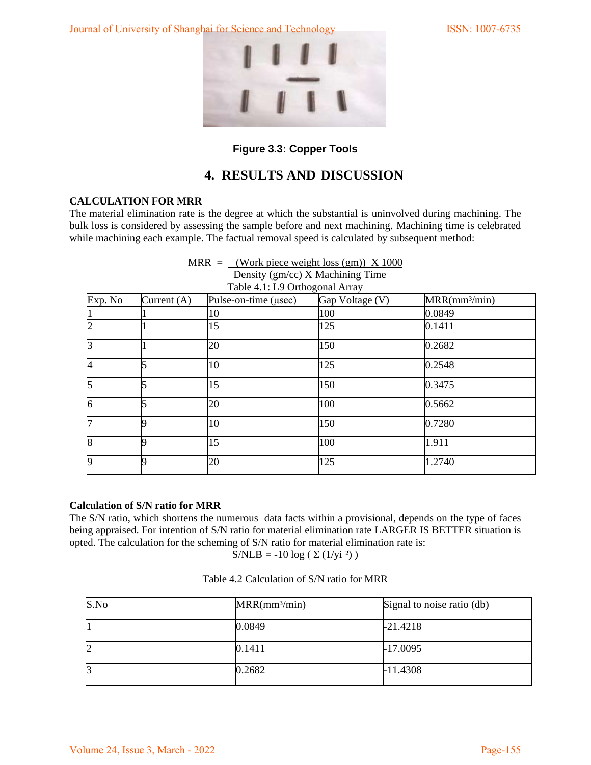Journal of University of Shanghai for Science and Technology ISSN: 1007-6735



### **Figure 3.3: Copper Tools**

# **4. RESULTS AND DISCUSSION**

### **CALCULATION FOR MRR**

The material elimination rate is the degree at which the substantial is uninvolved during machining. The bulk loss is considered by assessing the sample before and next machining. Machining time is celebrated while machining each example. The factual removal speed is calculated by subsequent method:

|                          |               | MRR = $\frac{\text{Work piece weight loss (gm))}}{1000}$<br>Density (gm/cc) X Machining Time<br>Table 4.1: L9 Orthogonal Array |                 |                 |
|--------------------------|---------------|--------------------------------------------------------------------------------------------------------------------------------|-----------------|-----------------|
| Exp. No                  | Current $(A)$ | Pulse-on-time $(\mu \text{sec})$                                                                                               | Gap Voltage (V) | $MRR(mm^3/min)$ |
|                          |               | 10                                                                                                                             | 100             | 0.0849          |
| $\overline{2}$           |               | 15                                                                                                                             | 125             | 0.1411          |
| $\overline{3}$           |               | 20                                                                                                                             | 150             | 0.2682          |
| $\overline{\mathcal{A}}$ |               | 10                                                                                                                             | 125             | 0.2548          |
| $\overline{5}$           |               | 15                                                                                                                             | 150             | 0.3475          |
| $\overline{6}$           |               | 20                                                                                                                             | 100             | 0.5662          |
| $\overline{7}$           |               | 10                                                                                                                             | 150             | 0.7280          |
| 8                        |               | 15                                                                                                                             | 100             | 1.911           |
| 9                        |               | 20                                                                                                                             | 125             | 1.2740          |

### **Calculation of S/N ratio for MRR**

The S/N ratio, which shortens the numerous data facts within a provisional, depends on the type of faces being appraised. For intention of S/N ratio for material elimination rate LARGER IS BETTER situation is opted. The calculation for the scheming of S/N ratio for material elimination rate is:

S/NLB = -10 log ( $\Sigma$  (1/yi<sup>2</sup>))

| S.No | MRR(mm <sup>3</sup> /min) | Signal to noise ratio (db) |
|------|---------------------------|----------------------------|
|      | 0.0849                    | $-21.4218$                 |
| 12   | 0.1411                    | $-17.0095$                 |
| IJ   | 0.2682                    | $-11.4308$                 |

| Table 4.2 Calculation of S/N ratio for MRR |  |
|--------------------------------------------|--|
|                                            |  |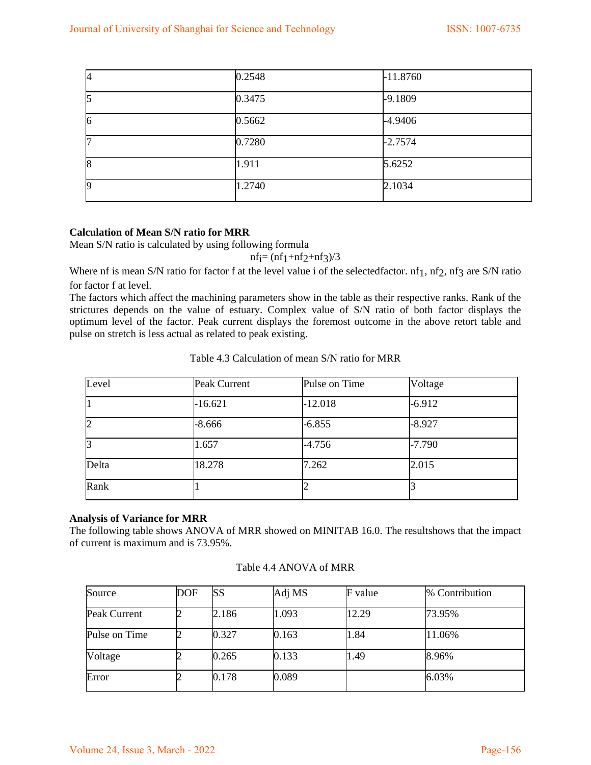| I4 | 0.2548 | $-11.8760$ |
|----|--------|------------|
| ı5 | 0.3475 | $-9.1809$  |
| 6  | 0.5662 | $-4.9406$  |
|    | 0.7280 | $-2.7574$  |
| 8  | 1.911  | 5.6252     |
| 19 | 1.2740 | 2.1034     |

### **Calculation of Mean S/N ratio for MRR**

Mean S/N ratio is calculated by using following formula

 $nf_1 = (nf_1 + nf_2 + nf_3)/3$ 

Where nf is mean S/N ratio for factor f at the level value i of the selected factor. nf1, nf2, nf3 are S/N ratio for factor f at level.

The factors which affect the machining parameters show in the table as their respective ranks. Rank of the strictures depends on the value of estuary. Complex value of S/N ratio of both factor displays the optimum level of the factor. Peak current displays the foremost outcome in the above retort table and pulse on stretch is less actual as related to peak existing.

| Level          | <b>Peak Current</b> | Pulse on Time | Voltage  |
|----------------|---------------------|---------------|----------|
| 1              | $-16.621$           | $-12.018$     | $-6.912$ |
| $\overline{2}$ | $-8.666$            | $-6.855$      | $-8.927$ |
| 3              | 1.657               | $-4.756$      | $-7.790$ |
| Delta          | 18.278              | 7.262         | 2.015    |
| Rank           |                     |               |          |

Table 4.3 Calculation of mean S/N ratio for MRR

### **Analysis of Variance for MRR**

The following table shows ANOVA of MRR showed on MINITAB 16.0. The result shows that the impact of current is maximum and is 73.95%.

| Source        | DOF | SS    | Adj MS | F value | % Contribution |
|---------------|-----|-------|--------|---------|----------------|
| Peak Current  |     | 2.186 | 1.093  | 12.29   | 73.95%         |
| Pulse on Time |     | 0.327 | 0.163  | 1.84    | 11.06%         |
| Voltage       |     | 0.265 | 0.133  | 1.49    | 8.96%          |
| Error         |     | 0.178 | 0.089  |         | 6.03%          |

Table 4.4 ANOVA of MRR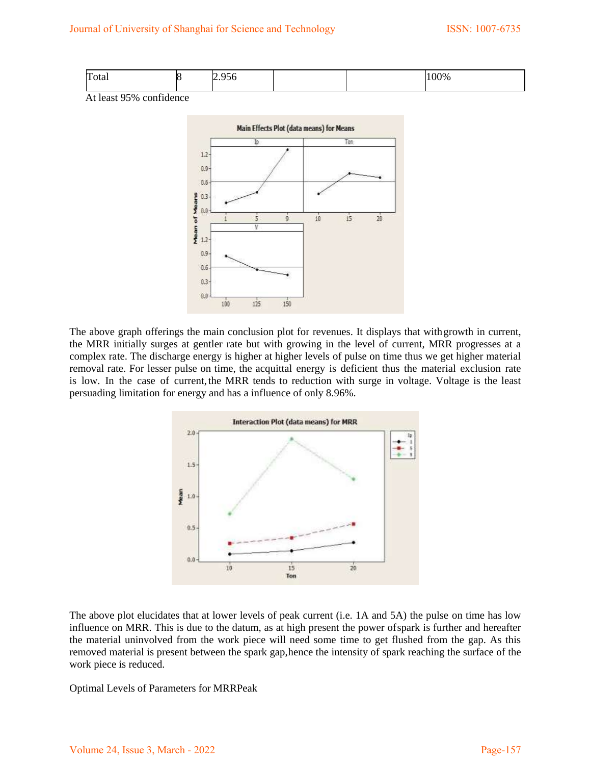| m<br>[Fotal] | ∽<br>. .<br>۱ſ<br>シンマ |  | 100% |
|--------------|-----------------------|--|------|
|              |                       |  |      |

At least 95% confidence



The above graph offerings the main conclusion plot for revenues. It displays that with growth in current, the MRR initially surges at gentler rate but with growing in the level of current, MRR progresses at a complex rate. The discharge energy is higher at higher levels of pulse on time thus we get higher material removal rate. For lesser pulse on time, the acquittal energy is deficient thus the material exclusion rate is low. In the case of current, the MRR tends to reduction with surge in voltage. Voltage is the least persuading limitation for energy and has a influence of only 8.96%.



The above plot elucidates that at lower levels of peak current (i.e. 1A and 5A) the pulse on time has low influence on MRR. This is due to the datum, as at high present the power of spark is further and hereafter the material uninvolved from the work piece will need some time to get flushed from the gap. As this removed material is present between the spark gap, hence the intensity of spark reaching the surface of the work piece is reduced.

Optimal Levels of Parameters for MRR Peak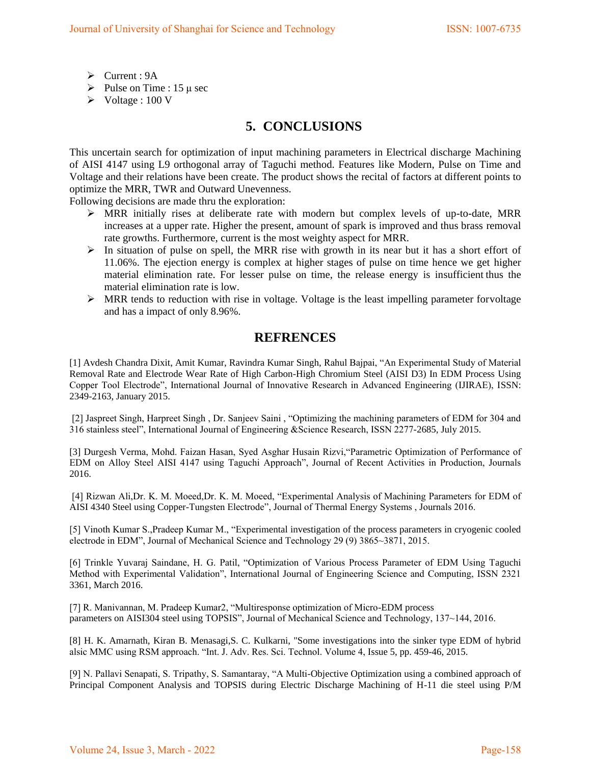- Current : 9A
- Pulse on Time :  $15 \mu$  sec
- Voltage : 100 V

# **5. CONCLUSIONS**

This uncertain search for optimization of input machining parameters in Electrical discharge Machining of AISI 4147 using L9 orthogonal array of Taguchi method. Features like Modern, Pulse on Time and Voltage and their relations have been create. The product shows the recital of factors at different points to optimize the MRR, TWR and Outward Unevenness.

Following decisions are made thru the exploration:

- MRR initially rises at deliberate rate with modern but complex levels of up-to-date, MRR increases at a upper rate. Higher the present, amount of spark is improved and thus brass removal rate growths. Furthermore, current is the most weighty aspect for MRR.
- $\triangleright$  In situation of pulse on spell, the MRR rise with growth in its near but it has a short effort of 11.06%. The ejection energy is complex at higher stages of pulse on time hence we get higher material elimination rate. For lesser pulse on time, the release energy is insufficient thus the material elimination rate is low.
- $\triangleright$  MRR tends to reduction with rise in voltage. Voltage is the least impelling parameter for voltage and has a impact of only 8.96%.

### **REFRENCES**

[1] Avdesh Chandra Dixit, Amit Kumar, Ravindra Kumar Singh, Rahul Bajpai, "An Experimental Study of Material Removal Rate and Electrode Wear Rate of High Carbon-High Chromium Steel (AISI D3) In EDM Process Using Copper Tool Electrode", International Journal of Innovative Research in Advanced Engineering (IJIRAE), ISSN: 2349-2163, January 2015.

[2] Jaspreet Singh, Harpreet Singh , Dr. Sanjeev Saini , "Optimizing the machining parameters of EDM for 304 and 316 stainless steel", International Journal of Engineering &Science Research, ISSN 2277-2685, July 2015.

[3] Durgesh Verma, Mohd. Faizan Hasan, Syed Asghar Husain Rizvi,"Parametric Optimization of Performance of EDM on Alloy Steel AISI 4147 using Taguchi Approach", Journal of Recent Activities in Production, Journals 2016.

[4] Rizwan Ali,Dr. K. M. Moeed,Dr. K. M. Moeed, "Experimental Analysis of Machining Parameters for EDM of AISI 4340 Steel using Copper-Tungsten Electrode", Journal of Thermal Energy Systems , Journals 2016.

[5] Vinoth Kumar S.,Pradeep Kumar M., "Experimental investigation of the process parameters in cryogenic cooled electrode in EDM", Journal of Mechanical Science and Technology 29 (9) 3865~3871, 2015.

[6] Trinkle Yuvaraj Saindane, H. G. Patil, "Optimization of Various Process Parameter of EDM Using Taguchi Method with Experimental Validation", International Journal of Engineering Science and Computing, ISSN 2321 3361, March 2016.

[7] R. Manivannan, M. Pradeep Kumar2, "Multiresponse optimization of Micro-EDM process parameters on AISI304 steel using TOPSIS", Journal of Mechanical Science and Technology, 137~144, 2016.

[8] H. K. Amarnath, Kiran B. Menasagi,S. C. Kulkarni, "Some investigations into the sinker type EDM of hybrid alsic MMC using RSM approach. "Int. J. Adv. Res. Sci. Technol. Volume 4, Issue 5, pp. 459-46, 2015.

[9] N. Pallavi Senapati, S. Tripathy, S. Samantaray, "A Multi-Objective Optimization using a combined approach of Principal Component Analysis and TOPSIS during Electric Discharge Machining of H-11 die steel using P/M